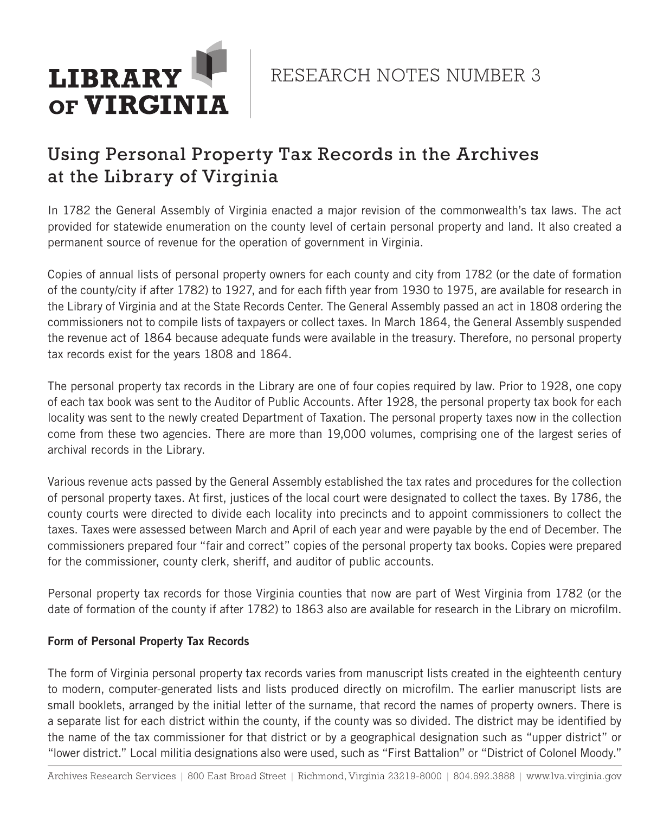

RESEARCH NOTES NUMBER 3

# Using Personal Property Tax Records in the Archives at the Library of Virginia

In 1782 the General Assembly of Virginia enacted a major revision of the commonwealth's tax laws. The act provided for statewide enumeration on the county level of certain personal property and land. It also created a permanent source of revenue for the operation of government in Virginia.

Copies of annual lists of personal property owners for each county and city from 1782 (or the date of formation of the county/city if after 1782) to 1927, and for each fifth year from 1930 to 1975, are available for research in the Library of Virginia and at the State Records Center. The General Assembly passed an act in 1808 ordering the commissioners not to compile lists of taxpayers or collect taxes. In March 1864, the General Assembly suspended the revenue act of 1864 because adequate funds were available in the treasury. Therefore, no personal property tax records exist for the years 1808 and 1864.

The personal property tax records in the Library are one of four copies required by law. Prior to 1928, one copy of each tax book was sent to the Auditor of Public Accounts. After 1928, the personal property tax book for each locality was sent to the newly created Department of Taxation. The personal property taxes now in the collection come from these two agencies. There are more than 19,000 volumes, comprising one of the largest series of archival records in the Library.

Various revenue acts passed by the General Assembly established the tax rates and procedures for the collection of personal property taxes. At first, justices of the local court were designated to collect the taxes. By 1786, the county courts were directed to divide each locality into precincts and to appoint commissioners to collect the taxes. Taxes were assessed between March and April of each year and were payable by the end of December. The commissioners prepared four "fair and correct" copies of the personal property tax books. Copies were prepared for the commissioner, county clerk, sheriff, and auditor of public accounts.

Personal property tax records for those Virginia counties that now are part of West Virginia from 1782 (or the date of formation of the county if after 1782) to 1863 also are available for research in the Library on microfilm.

# Form of Personal Property Tax Records

The form of Virginia personal property tax records varies from manuscript lists created in the eighteenth century to modern, computer-generated lists and lists produced directly on microfilm. The earlier manuscript lists are small booklets, arranged by the initial letter of the surname, that record the names of property owners. There is a separate list for each district within the county, if the county was so divided. The district may be identified by the name of the tax commissioner for that district or by a geographical designation such as "upper district" or "lower district." Local militia designations also were used, such as "First Battalion" or "District of Colonel Moody."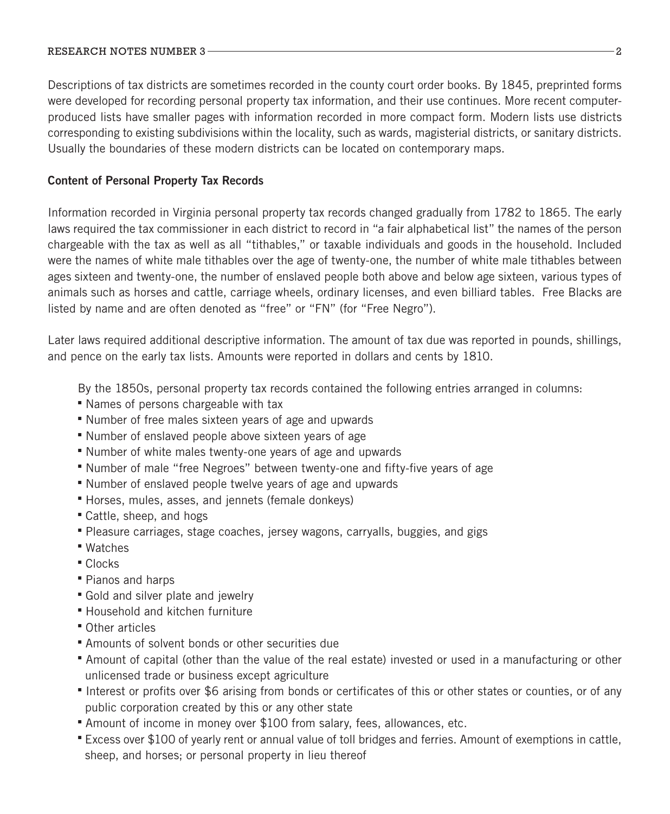### RESEARCH NOTES NUMBER 3 22 22 23 23 24 25 26 27 28 29 20 21 22 23 24 25 26 27 28 27 28 27 28 27 28 27 28 27 28

Descriptions of tax districts are sometimes recorded in the county court order books. By 1845, preprinted forms were developed for recording personal property tax information, and their use continues. More recent computerproduced lists have smaller pages with information recorded in more compact form. Modern lists use districts corresponding to existing subdivisions within the locality, such as wards, magisterial districts, or sanitary districts. Usually the boundaries of these modern districts can be located on contemporary maps.

## Content of Personal Property Tax Records

Information recorded in Virginia personal property tax records changed gradually from 1782 to 1865. The early laws required the tax commissioner in each district to record in "a fair alphabetical list" the names of the person chargeable with the tax as well as all "tithables," or taxable individuals and goods in the household. Included were the names of white male tithables over the age of twenty-one, the number of white male tithables between ages sixteen and twenty-one, the number of enslaved people both above and below age sixteen, various types of animals such as horses and cattle, carriage wheels, ordinary licenses, and even billiard tables. Free Blacks are listed by name and are often denoted as "free" or "FN" (for "Free Negro").

Later laws required additional descriptive information. The amount of tax due was reported in pounds, shillings, and pence on the early tax lists. Amounts were reported in dollars and cents by 1810.

By the 1850s, personal property tax records contained the following entries arranged in columns:

- Names of persons chargeable with tax
- Number of free males sixteen years of age and upwards
- Number of enslaved people above sixteen years of age
- Number of white males twenty-one years of age and upwards
- Number of male "free Negroes" between twenty-one and fifty-five years of age
- Number of enslaved people twelve years of age and upwards
- Horses, mules, asses, and jennets (female donkeys)
- Cattle, sheep, and hogs
- Pleasure carriages, stage coaches, jersey wagons, carryalls, buggies, and gigs
- Watches
- Clocks
- Pianos and harps
- Gold and silver plate and jewelry
- Household and kitchen furniture
- Other articles
- Amounts of solvent bonds or other securities due
- Amount of capital (other than the value of the real estate) invested or used in a manufacturing or other unlicensed trade or business except agriculture
- Interest or profits over \$6 arising from bonds or certificates of this or other states or counties, or of any public corporation created by this or any other state
- Amount of income in money over \$100 from salary, fees, allowances, etc.
- Excess over \$100 of yearly rent or annual value of toll bridges and ferries. Amount of exemptions in cattle, sheep, and horses; or personal property in lieu thereof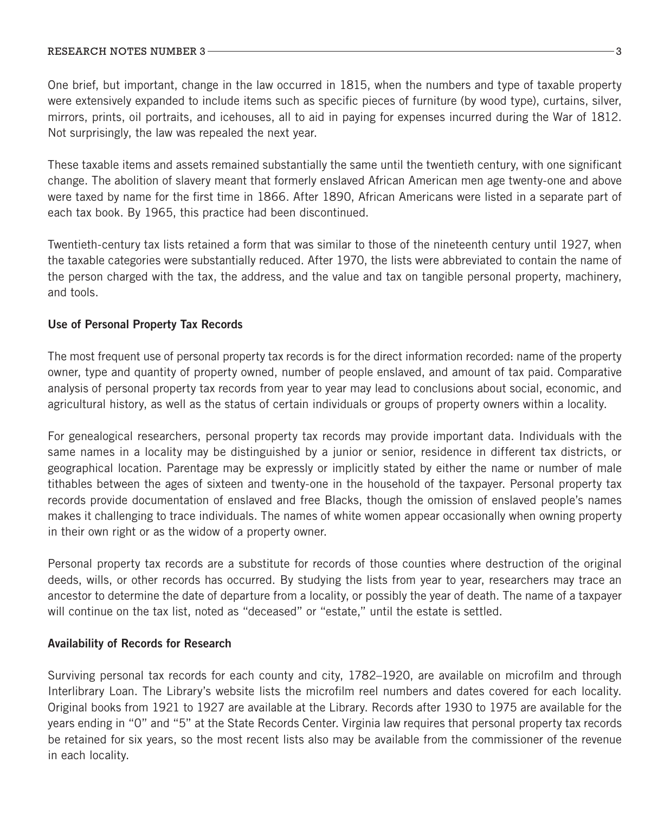#### RESEARCH NOTES NUMBER 3 3 3 3 3 3 3 3 3 3 3 3 3 4 4 5 5 6 7 8 3 3 4 5 6 7 8 7 8 1 8 3 4 5 6 7 8 9 80 1 81 81 8

One brief, but important, change in the law occurred in 1815, when the numbers and type of taxable property were extensively expanded to include items such as specific pieces of furniture (by wood type), curtains, silver, mirrors, prints, oil portraits, and icehouses, all to aid in paying for expenses incurred during the War of 1812. Not surprisingly, the law was repealed the next year.

These taxable items and assets remained substantially the same until the twentieth century, with one significant change. The abolition of slavery meant that formerly enslaved African American men age twenty-one and above were taxed by name for the first time in 1866. After 1890, African Americans were listed in a separate part of each tax book. By 1965, this practice had been discontinued.

Twentieth-century tax lists retained a form that was similar to those of the nineteenth century until 1927, when the taxable categories were substantially reduced. After 1970, the lists were abbreviated to contain the name of the person charged with the tax, the address, and the value and tax on tangible personal property, machinery, and tools.

# Use of Personal Property Tax Records

The most frequent use of personal property tax records is for the direct information recorded: name of the property owner, type and quantity of property owned, number of people enslaved, and amount of tax paid. Comparative analysis of personal property tax records from year to year may lead to conclusions about social, economic, and agricultural history, as well as the status of certain individuals or groups of property owners within a locality.

For genealogical researchers, personal property tax records may provide important data. Individuals with the same names in a locality may be distinguished by a junior or senior, residence in different tax districts, or geographical location. Parentage may be expressly or implicitly stated by either the name or number of male tithables between the ages of sixteen and twenty-one in the household of the taxpayer. Personal property tax records provide documentation of enslaved and free Blacks, though the omission of enslaved people's names makes it challenging to trace individuals. The names of white women appear occasionally when owning property in their own right or as the widow of a property owner.

Personal property tax records are a substitute for records of those counties where destruction of the original deeds, wills, or other records has occurred. By studying the lists from year to year, researchers may trace an ancestor to determine the date of departure from a locality, or possibly the year of death. The name of a taxpayer will continue on the tax list, noted as "deceased" or "estate," until the estate is settled.

# Availability of Records for Research

Surviving personal tax records for each county and city, 1782–1920, are available on microfilm and through Interlibrary Loan. The Library's website lists the microfilm reel numbers and dates covered for each locality. Original books from 1921 to 1927 are available at the Library. Records after 1930 to 1975 are available for the years ending in "0" and "5" at the State Records Center. Virginia law requires that personal property tax records be retained for six years, so the most recent lists also may be available from the commissioner of the revenue in each locality.